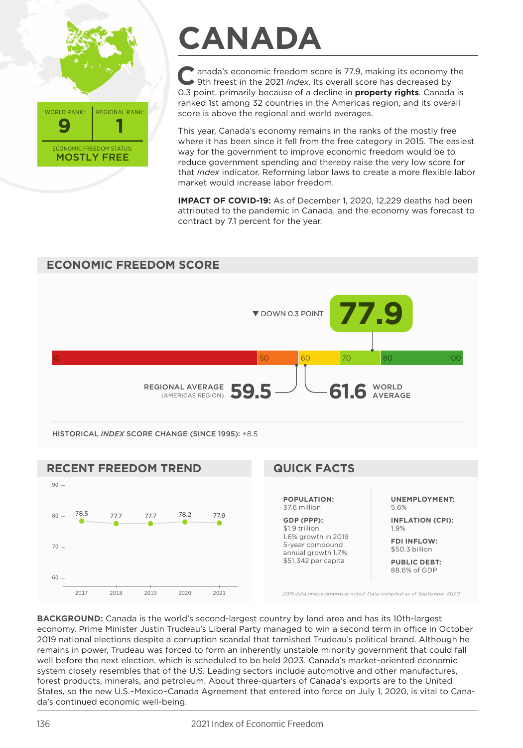

## **CANADA**

**C**anada's economic freedom score is 77.9, making its economy the 9th freest in the 2021 *Index*. Its overall score has decreased by 0.3 point, primarily because of a decline in **property rights**. Canada is ranked 1st among 32 countries in the Americas region, and its overall score is above the regional and world averages.

This year, Canada's economy remains in the ranks of the mostly free where it has been since it fell from the free category in 2015. The easiest way for the government to improve economic freedom would be to reduce government spending and thereby raise the very low score for that *Index* indicator. Reforming labor laws to create a more flexible labor market would increase labor freedom.

**IMPACT OF COVID-19:** As of December 1, 2020, 12,229 deaths had been attributed to the pandemic in Canada, and the economy was forecast to contract by 7.1 percent for the year.





**BACKGROUND:** Canada is the world's second-largest country by land area and has its 10th-largest economy. Prime Minister Justin Trudeau's Liberal Party managed to win a second term in office in October 2019 national elections despite a corruption scandal that tarnished Trudeau's political brand. Although he remains in power, Trudeau was forced to form an inherently unstable minority government that could fall well before the next election, which is scheduled to be held 2023. Canada's market-oriented economic system closely resembles that of the U.S. Leading sectors include automotive and other manufactures, forest products, minerals, and petroleum. About three-quarters of Canada's exports are to the United States, so the new U.S.–Mexico–Canada Agreement that entered into force on July 1, 2020, is vital to Canada's continued economic well-being.